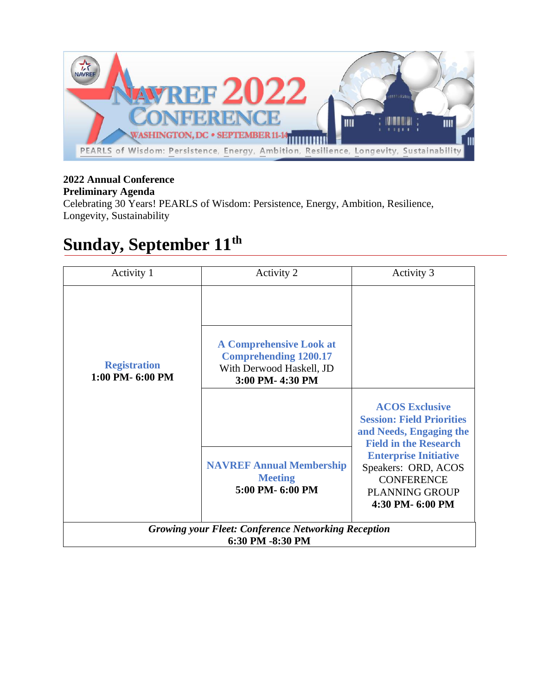

#### **2022 Annual Conference Preliminary Agenda**

Celebrating 30 Years! PEARLS of Wisdom: Persistence, Energy, Ambition, Resilience, Longevity, Sustainability

#### **Sunday, September 11th**

| Activity 1                                                                     | Activity 2                                                                                                    | Activity 3                                                                                                                                                                                                                                    |
|--------------------------------------------------------------------------------|---------------------------------------------------------------------------------------------------------------|-----------------------------------------------------------------------------------------------------------------------------------------------------------------------------------------------------------------------------------------------|
| <b>Registration</b><br>1:00 PM-6:00 PM                                         | <b>A Comprehensive Look at</b><br><b>Comprehending 1200.17</b><br>With Derwood Haskell, JD<br>3:00 PM-4:30 PM |                                                                                                                                                                                                                                               |
|                                                                                | <b>NAVREF Annual Membership</b><br><b>Meeting</b><br>5:00 PM-6:00 PM                                          | <b>ACOS Exclusive</b><br><b>Session: Field Priorities</b><br>and Needs, Engaging the<br><b>Field in the Research</b><br><b>Enterprise Initiative</b><br>Speakers: ORD, ACOS<br><b>CONFERENCE</b><br><b>PLANNING GROUP</b><br>4:30 PM- 6:00 PM |
| <b>Growing your Fleet: Conference Networking Reception</b><br>6:30 PM -8:30 PM |                                                                                                               |                                                                                                                                                                                                                                               |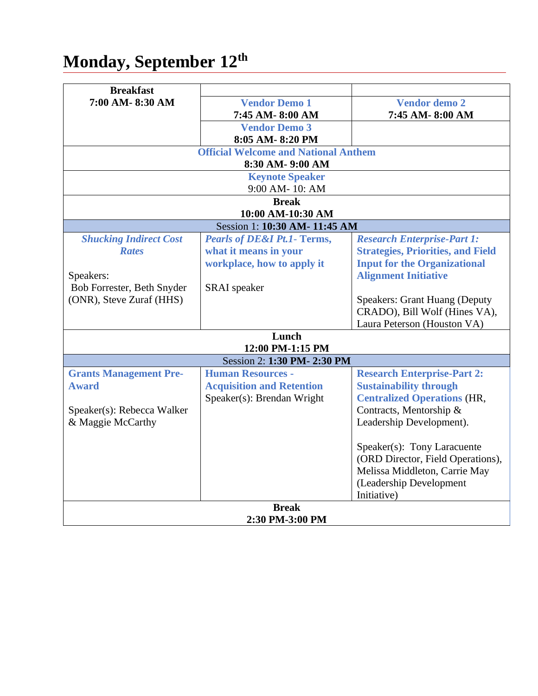## **Monday, September 12th**

| <b>Breakfast</b>              |                                             |                                                                       |
|-------------------------------|---------------------------------------------|-----------------------------------------------------------------------|
| 7:00 AM-8:30 AM               | <b>Vendor Demo 1</b>                        | <b>Vendor demo 2</b>                                                  |
|                               | 7:45 AM-8:00 AM                             | 7:45 AM-8:00 AM                                                       |
|                               | <b>Vendor Demo 3</b>                        |                                                                       |
|                               | 8:05 AM-8:20 PM                             |                                                                       |
|                               | <b>Official Welcome and National Anthem</b> |                                                                       |
| 8:30 AM- 9:00 AM              |                                             |                                                                       |
|                               | <b>Keynote Speaker</b>                      |                                                                       |
|                               | 9:00 AM-10: AM                              |                                                                       |
|                               | <b>Break</b>                                |                                                                       |
|                               | 10:00 AM-10:30 AM                           |                                                                       |
|                               | Session 1: 10:30 AM- 11:45 AM               |                                                                       |
| <b>Shucking Indirect Cost</b> | <b>Pearls of DE&amp;I Pt.1- Terms,</b>      | <b>Research Enterprise-Part 1:</b>                                    |
| <b>Rates</b>                  | what it means in your                       | <b>Strategies, Priorities, and Field</b>                              |
|                               | workplace, how to apply it                  | <b>Input for the Organizational</b>                                   |
| Speakers:                     |                                             | <b>Alignment Initiative</b>                                           |
| Bob Forrester, Beth Snyder    | SRAI speaker                                |                                                                       |
| (ONR), Steve Zuraf (HHS)      |                                             | <b>Speakers: Grant Huang (Deputy</b><br>CRADO), Bill Wolf (Hines VA), |
|                               |                                             |                                                                       |
|                               |                                             | Laura Peterson (Houston VA)                                           |
| Lunch<br>12:00 PM-1:15 PM     |                                             |                                                                       |
|                               | Session 2: 1:30 PM-2:30 PM                  |                                                                       |
| <b>Grants Management Pre-</b> | <b>Human Resources -</b>                    | <b>Research Enterprise-Part 2:</b>                                    |
| <b>Award</b>                  | <b>Acquisition and Retention</b>            | <b>Sustainability through</b>                                         |
|                               | Speaker(s): Brendan Wright                  | <b>Centralized Operations (HR,</b>                                    |
| Speaker(s): Rebecca Walker    |                                             | Contracts, Mentorship &                                               |
| & Maggie McCarthy             |                                             | Leadership Development).                                              |
|                               |                                             |                                                                       |
|                               |                                             | Speaker(s): Tony Laracuente                                           |
|                               |                                             | (ORD Director, Field Operations),                                     |
|                               |                                             | Melissa Middleton, Carrie May                                         |
|                               |                                             | (Leadership Development                                               |
|                               |                                             | Initiative)                                                           |
| <b>Break</b>                  |                                             |                                                                       |
| 2:30 PM-3:00 PM               |                                             |                                                                       |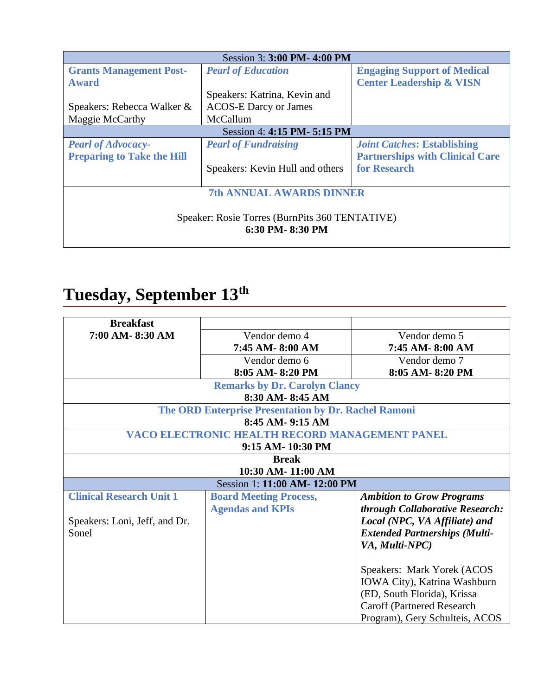| Session 3: 3:00 PM- 4:00 PM                    |                                 |                                        |
|------------------------------------------------|---------------------------------|----------------------------------------|
| <b>Grants Management Post-</b>                 | <b>Pearl of Education</b>       | <b>Engaging Support of Medical</b>     |
| <b>Award</b>                                   |                                 | <b>Center Leadership &amp; VISN</b>    |
|                                                | Speakers: Katrina, Kevin and    |                                        |
| Speakers: Rebecca Walker &                     | <b>ACOS-E Darcy or James</b>    |                                        |
| Maggie McCarthy                                | McCallum                        |                                        |
| Session 4: 4:15 PM- 5:15 PM                    |                                 |                                        |
| <b>Pearl of Advocacy-</b>                      | <b>Pearl of Fundraising</b>     | <b>Joint Catches: Establishing</b>     |
| <b>Preparing to Take the Hill</b>              |                                 | <b>Partnerships with Clinical Care</b> |
|                                                | Speakers: Kevin Hull and others | for Research                           |
|                                                |                                 |                                        |
| <b>7th ANNUAL AWARDS DINNER</b>                |                                 |                                        |
|                                                |                                 |                                        |
| Speaker: Rosie Torres (BurnPits 360 TENTATIVE) |                                 |                                        |
| 6:30 PM-8:30 PM                                |                                 |                                        |
|                                                |                                 |                                        |

# **Tuesday, September 13th**

| <b>Breakfast</b>                |                                                      |                                      |
|---------------------------------|------------------------------------------------------|--------------------------------------|
| 7:00 AM-8:30 AM                 | Vendor demo 4                                        | Vendor demo 5                        |
|                                 | 7:45 AM-8:00 AM                                      | 7:45 AM-8:00 AM                      |
|                                 | Vendor demo 6                                        | Vendor demo 7                        |
|                                 | 8:05 AM-8:20 PM                                      | 8:05 AM-8:20 PM                      |
|                                 | <b>Remarks by Dr. Carolyn Clancy</b>                 |                                      |
|                                 | 8:30 AM-8:45 AM                                      |                                      |
|                                 | The ORD Enterprise Presentation by Dr. Rachel Ramoni |                                      |
|                                 | 8:45 AM- 9:15 AM                                     |                                      |
|                                 | VACO ELECTRONIC HEALTH RECORD MANAGEMENT PANEL       |                                      |
|                                 | 9:15 AM- 10:30 PM                                    |                                      |
|                                 | <b>Break</b>                                         |                                      |
|                                 | 10:30 AM- 11:00 AM                                   |                                      |
| Session 1: 11:00 AM- 12:00 PM   |                                                      |                                      |
| <b>Clinical Research Unit 1</b> | <b>Board Meeting Process,</b>                        | <b>Ambition to Grow Programs</b>     |
|                                 | <b>Agendas and KPIs</b>                              | through Collaborative Research:      |
| Speakers: Loni, Jeff, and Dr.   |                                                      | Local (NPC, VA Affiliate) and        |
| Sonel                           |                                                      | <b>Extended Partnerships (Multi-</b> |
|                                 |                                                      | VA, Multi-NPC)                       |
|                                 |                                                      |                                      |
|                                 |                                                      | Speakers: Mark Yorek (ACOS           |
|                                 |                                                      | IOWA City), Katrina Washburn         |
|                                 |                                                      | (ED, South Florida), Krissa          |
|                                 |                                                      | Caroff (Partnered Research           |
|                                 |                                                      | Program), Gery Schulteis, ACOS       |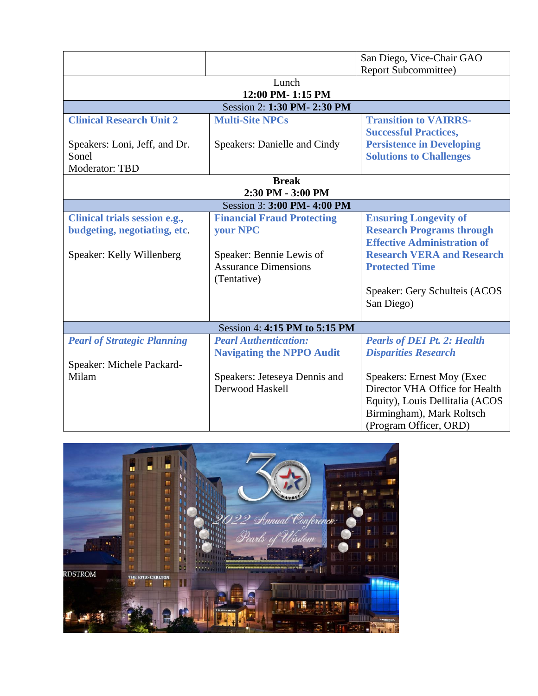|                                    |                                   | San Diego, Vice-Chair GAO          |  |
|------------------------------------|-----------------------------------|------------------------------------|--|
|                                    |                                   | <b>Report Subcommittee)</b>        |  |
| Lunch                              |                                   |                                    |  |
| 12:00 PM-1:15 PM                   |                                   |                                    |  |
| Session 2: 1:30 PM- 2:30 PM        |                                   |                                    |  |
| <b>Clinical Research Unit 2</b>    | <b>Multi-Site NPCs</b>            | <b>Transition to VAIRRS-</b>       |  |
|                                    |                                   | <b>Successful Practices,</b>       |  |
| Speakers: Loni, Jeff, and Dr.      | Speakers: Danielle and Cindy      | <b>Persistence in Developing</b>   |  |
| Sonel                              |                                   | <b>Solutions to Challenges</b>     |  |
| Moderator: TBD                     |                                   |                                    |  |
| <b>Break</b>                       |                                   |                                    |  |
| 2:30 PM - 3:00 PM                  |                                   |                                    |  |
| Session 3: 3:00 PM- 4:00 PM        |                                   |                                    |  |
| Clinical trials session e.g.,      | <b>Financial Fraud Protecting</b> | <b>Ensuring Longevity of</b>       |  |
| budgeting, negotiating, etc.       | your NPC                          | <b>Research Programs through</b>   |  |
|                                    |                                   | <b>Effective Administration of</b> |  |
| Speaker: Kelly Willenberg          | Speaker: Bennie Lewis of          | <b>Research VERA and Research</b>  |  |
|                                    | <b>Assurance Dimensions</b>       | <b>Protected Time</b>              |  |
|                                    | (Tentative)                       |                                    |  |
|                                    |                                   | Speaker: Gery Schulteis (ACOS      |  |
|                                    |                                   | San Diego)                         |  |
|                                    |                                   |                                    |  |
|                                    | Session 4: 4:15 PM to 5:15 PM     |                                    |  |
| <b>Pearl of Strategic Planning</b> | <b>Pearl Authentication:</b>      | <b>Pearls of DEI Pt. 2: Health</b> |  |
|                                    | <b>Navigating the NPPO Audit</b>  | <b>Disparities Research</b>        |  |
| Speaker: Michele Packard-          |                                   |                                    |  |
| Milam                              | Speakers: Jeteseya Dennis and     | <b>Speakers: Ernest Moy (Exec</b>  |  |
|                                    | Derwood Haskell                   | Director VHA Office for Health     |  |
|                                    |                                   | Equity), Louis Dellitalia (ACOS    |  |
|                                    |                                   | Birmingham), Mark Roltsch          |  |
|                                    |                                   | (Program Officer, ORD)             |  |